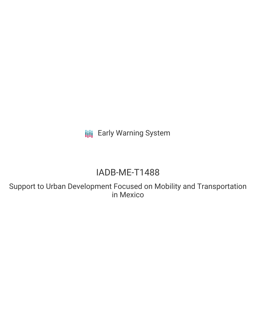**III** Early Warning System

# IADB-ME-T1488

Support to Urban Development Focused on Mobility and Transportation in Mexico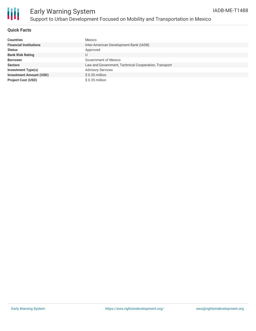

### **Quick Facts**

| <b>Countries</b>               | Mexico                                               |
|--------------------------------|------------------------------------------------------|
| <b>Financial Institutions</b>  | Inter-American Development Bank (IADB)               |
| <b>Status</b>                  | Approved                                             |
| <b>Bank Risk Rating</b>        | U                                                    |
| <b>Borrower</b>                | Government of Mexico                                 |
| <b>Sectors</b>                 | Law and Government, Technical Cooperation, Transport |
| <b>Investment Type(s)</b>      | <b>Advisory Services</b>                             |
| <b>Investment Amount (USD)</b> | $$0.35$ million                                      |
| <b>Project Cost (USD)</b>      | \$0.35 million                                       |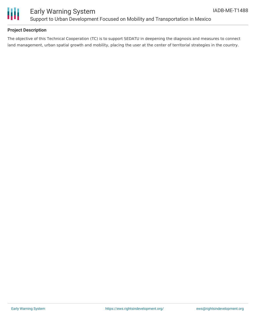

## Early Warning System Support to Urban Development Focused on Mobility and Transportation in Mexico

### **Project Description**

The objective of this Technical Cooperation (TC) is to support SEDATU in deepening the diagnosis and measures to connect land management, urban spatial growth and mobility, placing the user at the center of territorial strategies in the country.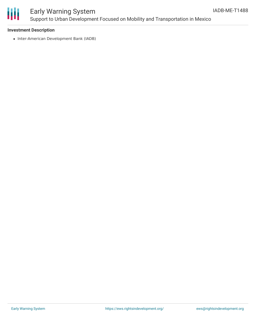

# Early Warning System Support to Urban Development Focused on Mobility and Transportation in Mexico

#### **Investment Description**

• Inter-American Development Bank (IADB)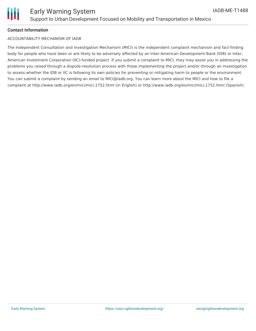

#### **Contact Information**

#### ACCOUNTABILITY MECHANISM OF IADB

The Independent Consultation and Investigation Mechanism (MICI) is the independent complaint mechanism and fact-finding body for people who have been or are likely to be adversely affected by an Inter-American Development Bank (IDB) or Inter-American Investment Corporation (IIC)-funded project. If you submit a complaint to MICI, they may assist you in addressing the problems you raised through a dispute-resolution process with those implementing the project and/or through an investigation to assess whether the IDB or IIC is following its own policies for preventing or mitigating harm to people or the environment. You can submit a complaint by sending an email to MICI@iadb.org. You can learn more about the MICI and how to file a complaint at http://www.iadb.org/en/mici/mici,1752.html (in English) or http://www.iadb.org/es/mici/mici,1752.html (Spanish).